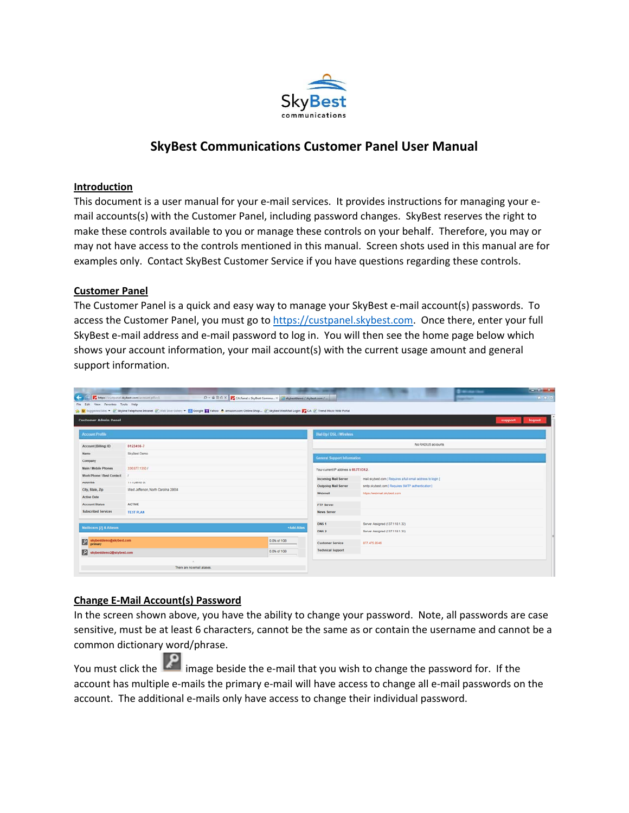

# **SkyBest Communications Customer Panel User Manual**

#### **Introduction**

This document is a user manual for your e-mail services. It provides instructions for managing your email accounts(s) with the Customer Panel, including password changes. SkyBest reserves the right to make these controls available to you or manage these controls on your behalf. Therefore, you may or may not have access to the controls mentioned in this manual. Screen shots used in this manual are for examples only. Contact SkyBest Customer Service if you have questions regarding these controls.

#### **Customer Panel**

The Customer Panel is a quick and easy way to manage your SkyBest e‐mail account(s) passwords. To access the Customer Panel, you must go to https://custpanel.skybest.com. Once there, enter your full SkyBest e-mail address and e-mail password to log in. You will then see the home page below which shows your account information, your mail account(s) with the current usage amount and general support information.

| <b>Customer Admin Panel</b>                            | 1 September Stes . (2) Skyline Telephone Intranet (2) Web Sice Gallery . (3) Google M Yahoo 8. amazon.com Online Shop (2) SkyBest WebMail Login (CA (3) Trend Micro Web Portal |            |                                         |                                                             | support<br>logout |
|--------------------------------------------------------|--------------------------------------------------------------------------------------------------------------------------------------------------------------------------------|------------|-----------------------------------------|-------------------------------------------------------------|-------------------|
| <b>Account Profile</b>                                 |                                                                                                                                                                                |            | Dial Up / DSL / Wireless                |                                                             |                   |
| Account (Bitting) ID                                   | 0123456-7                                                                                                                                                                      |            |                                         | No RADIUS accounts                                          |                   |
| Name                                                   | SkyBest Demo                                                                                                                                                                   |            | <b>General Support Information</b>      |                                                             |                   |
| Company                                                |                                                                                                                                                                                |            |                                         |                                                             |                   |
| Main / Mobile Phones                                   | 336.877.1350.7                                                                                                                                                                 |            | Your current IP address is 69,77,131.2. |                                                             |                   |
| Work Phone / Best Contact                              |                                                                                                                                                                                |            | <b>Incoming Mail Server</b>             | mail skybest com [ Requires a full email address to login ] |                   |
| <b>Address</b>                                         | 111 Demo St                                                                                                                                                                    |            | <b>Outgoing Mail Server</b>             | smtp.skybest.com [ Requires SMTP authentication ]           |                   |
| City, State, Zip<br><b>Active Date</b>                 | West Jefferson, North Carolina 28694                                                                                                                                           |            | Webmail                                 | https://webmail.skybest.com                                 |                   |
| <b>Account Status</b>                                  | <b>ACTIVE</b>                                                                                                                                                                  |            | <b>FTP Server</b>                       |                                                             |                   |
| <b>Subscribed Services</b>                             | <b>TEST PLAN</b>                                                                                                                                                               |            | <b>News Server</b>                      |                                                             |                   |
|                                                        |                                                                                                                                                                                |            | DNS <sub>1</sub>                        | Server Assigned (137.118.1.32)                              |                   |
| <b>Mailboxes [2] &amp; Aliases</b>                     |                                                                                                                                                                                | +Add Alias | DNS <sub>2</sub>                        | Server Assigned (137.118.1.33)                              |                   |
| skybestdemo@skybest.com<br>0.0% of 1GB<br>团<br>primary |                                                                                                                                                                                |            | <b>Customer Service</b>                 | 877.475.9546                                                |                   |
| 0.0% of 1GB<br>團<br>skybestdemo2@skybest.com           |                                                                                                                                                                                |            | <b>Technical Support</b>                |                                                             |                   |

#### **Change E‐Mail Account(s) Password**

In the screen shown above, you have the ability to change your password. Note, all passwords are case sensitive, must be at least 6 characters, cannot be the same as or contain the username and cannot be a common dictionary word/phrase.

You must click the **2** image beside the e-mail that you wish to change the password for. If the account has multiple e-mails the primary e-mail will have access to change all e-mail passwords on the account. The additional e-mails only have access to change their individual password.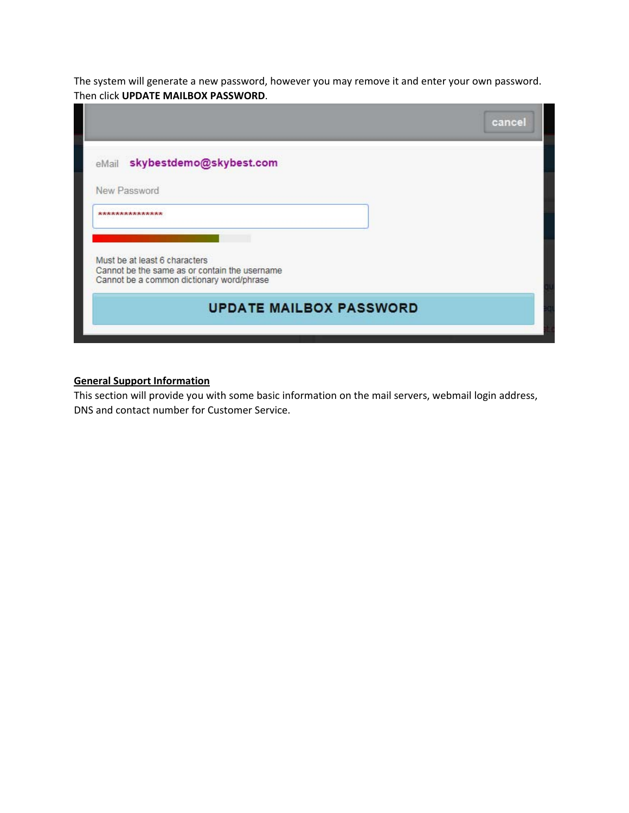The system will generate a new password, however you may remove it and enter your own password. Then click **UPDATE MAILBOX PASSWORD**.

|                                                                                | cancel |
|--------------------------------------------------------------------------------|--------|
| eMail skybestdemo@skybest.com                                                  |        |
| New Password                                                                   |        |
| ****************                                                               |        |
|                                                                                |        |
| Must be at least 6 characters<br>Cannot be the same as or contain the username |        |
| Cannot be a common dictionary word/phrase                                      |        |
| <b>UPDATE MAILBOX PASSWORD</b>                                                 |        |
|                                                                                |        |

### **General Support Information**

This section will provide you with some basic information on the mail servers, webmail login address, DNS and contact number for Customer Service.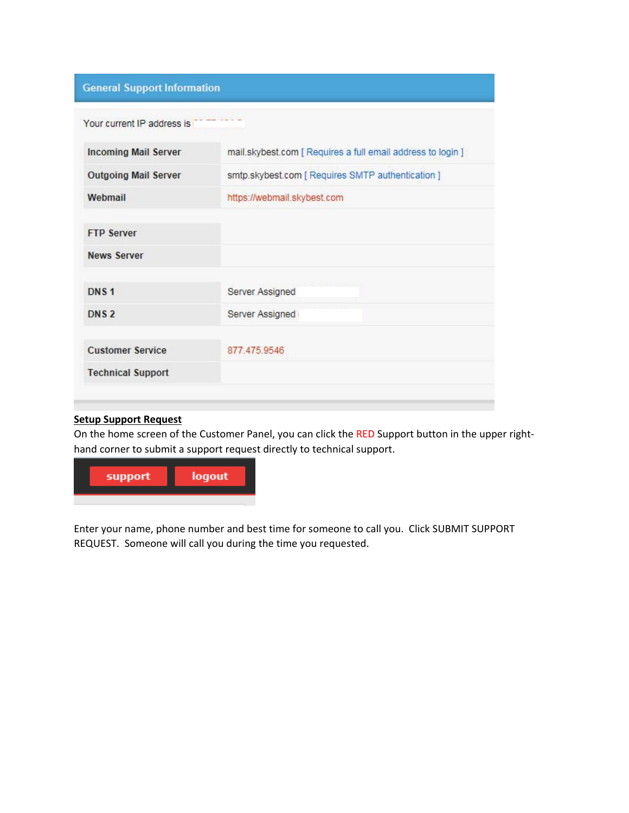## **General Support Information**

| Your current IP address is  |                                                             |
|-----------------------------|-------------------------------------------------------------|
| <b>Incoming Mail Server</b> | mail.skybest.com [ Requires a full email address to login ] |
| <b>Outgoing Mail Server</b> | smtp.skybest.com [ Requires SMTP authentication ]           |
| Webmail                     | https://webmail.skybest.com                                 |
| <b>FTP Server</b>           |                                                             |
| <b>News Server</b>          |                                                             |
| DNS <sub>1</sub>            | Server Assigned                                             |
| DNS <sub>2</sub>            | Server Assigned                                             |
| <b>Customer Service</b>     | 877 475 9546                                                |
| <b>Technical Support</b>    |                                                             |

### **Setup Support Request**

On the home screen of the Customer Panel, you can click the RED Support button in the upper righthand corner to submit a support request directly to technical support.



Enter your name, phone number and best time for someone to call you. Click SUBMIT SUPPORT REQUEST. Someone will call you during the time you requested.